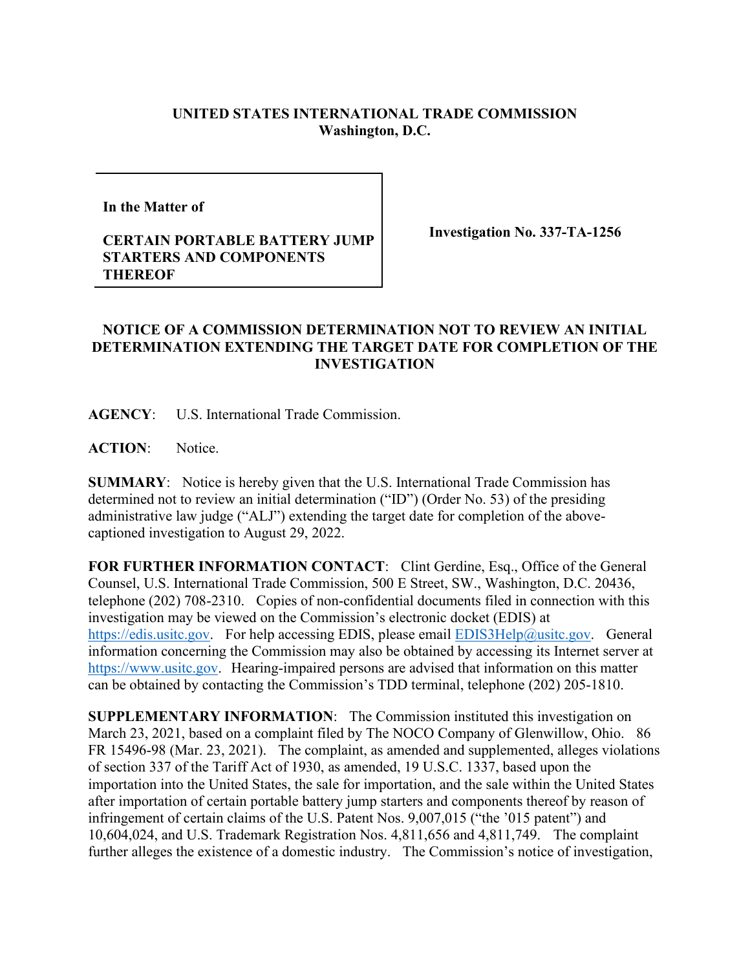## **UNITED STATES INTERNATIONAL TRADE COMMISSION Washington, D.C.**

**In the Matter of** 

## **CERTAIN PORTABLE BATTERY JUMP STARTERS AND COMPONENTS THEREOF**

**Investigation No. 337-TA-1256**

## **NOTICE OF A COMMISSION DETERMINATION NOT TO REVIEW AN INITIAL DETERMINATION EXTENDING THE TARGET DATE FOR COMPLETION OF THE INVESTIGATION**

**AGENCY**: U.S. International Trade Commission.

**ACTION**: Notice.

**SUMMARY**: Notice is hereby given that the U.S. International Trade Commission has determined not to review an initial determination ("ID") (Order No. 53) of the presiding administrative law judge ("ALJ") extending the target date for completion of the abovecaptioned investigation to August 29, 2022.

FOR FURTHER INFORMATION CONTACT: Clint Gerdine, Esq., Office of the General Counsel, U.S. International Trade Commission, 500 E Street, SW., Washington, D.C. 20436, telephone (202) 708-2310. Copies of non-confidential documents filed in connection with this investigation may be viewed on the Commission's electronic docket (EDIS) at [https://edis.usitc.gov.](https://edis.usitc.gov/) For help accessing EDIS, please email [EDIS3Help@usitc.gov.](mailto:EDIS3Help@usitc.gov) General information concerning the Commission may also be obtained by accessing its Internet server at [https://www.usitc.gov.](https://www.usitc.gov/) Hearing-impaired persons are advised that information on this matter can be obtained by contacting the Commission's TDD terminal, telephone (202) 205-1810.

**SUPPLEMENTARY INFORMATION**: The Commission instituted this investigation on March 23, 2021, based on a complaint filed by The NOCO Company of Glenwillow, Ohio. 86 FR 15496-98 (Mar. 23, 2021). The complaint, as amended and supplemented, alleges violations of section 337 of the Tariff Act of 1930, as amended, 19 U.S.C. 1337, based upon the importation into the United States, the sale for importation, and the sale within the United States after importation of certain portable battery jump starters and components thereof by reason of infringement of certain claims of the U.S. Patent Nos. 9,007,015 ("the '015 patent") and 10,604,024, and U.S. Trademark Registration Nos. 4,811,656 and 4,811,749.The complaint further alleges the existence of a domestic industry. The Commission's notice of investigation,